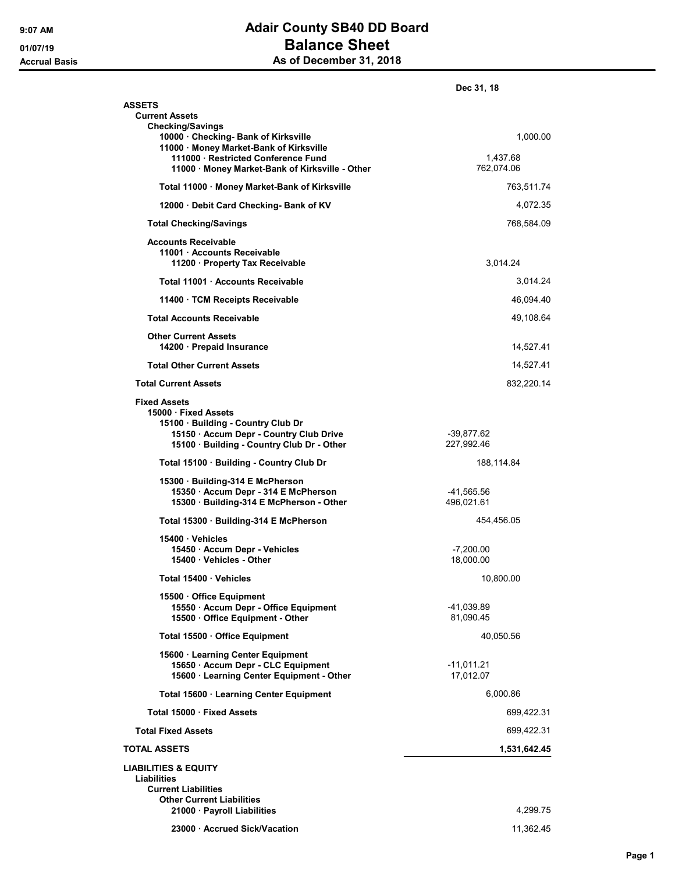## 9:07 AM Adair County SB40 DD Board 01/07/19 **Balance Sheet** Accrual Basis **Accrual Basis** As of December 31, 2018

|                                                                                                                                                                          | Dec 31, 18               |
|--------------------------------------------------------------------------------------------------------------------------------------------------------------------------|--------------------------|
| <b>ASSETS</b><br><b>Current Assets</b><br><b>Checking/Savings</b>                                                                                                        |                          |
| 10000 Checking- Bank of Kirksville<br>11000 · Money Market-Bank of Kirksville                                                                                            | 1,000.00                 |
| 111000 · Restricted Conference Fund<br>11000 Money Market-Bank of Kirksville - Other                                                                                     | 1,437.68<br>762,074.06   |
| Total 11000 · Money Market-Bank of Kirksville                                                                                                                            | 763,511.74               |
| 12000 Debit Card Checking- Bank of KV                                                                                                                                    | 4,072.35                 |
| <b>Total Checking/Savings</b>                                                                                                                                            | 768,584.09               |
| <b>Accounts Receivable</b><br>11001 Accounts Receivable<br>11200 · Property Tax Receivable                                                                               | 3,014.24                 |
| Total 11001 Accounts Receivable                                                                                                                                          | 3,014.24                 |
| 11400 TCM Receipts Receivable                                                                                                                                            | 46,094.40                |
| <b>Total Accounts Receivable</b>                                                                                                                                         | 49,108.64                |
| <b>Other Current Assets</b><br>14200 · Prepaid Insurance                                                                                                                 | 14,527.41                |
| <b>Total Other Current Assets</b>                                                                                                                                        | 14,527.41                |
| <b>Total Current Assets</b>                                                                                                                                              | 832,220.14               |
| <b>Fixed Assets</b><br>15000 Fixed Assets<br>15100 · Building - Country Club Dr<br>15150 · Accum Depr - Country Club Drive<br>15100 · Building - Country Club Dr - Other | -39,877.62<br>227,992.46 |
| Total 15100 · Building - Country Club Dr                                                                                                                                 | 188,114.84               |
| 15300 · Building-314 E McPherson<br>15350 · Accum Depr - 314 E McPherson<br>15300 · Building-314 E McPherson - Other                                                     | -41,565.56<br>496,021.61 |
| Total 15300 · Building-314 E McPherson                                                                                                                                   | 454,456.05               |
| 15400 Vehicles<br>15450 Accum Depr - Vehicles<br>15400 · Vehicles - Other                                                                                                | $-7,200.00$<br>18,000.00 |
| Total 15400 · Vehicles                                                                                                                                                   | 10,800.00                |
| 15500 Office Equipment<br>15550 · Accum Depr - Office Equipment<br>15500 Office Equipment - Other                                                                        | -41,039.89<br>81,090.45  |
| Total 15500 · Office Equipment                                                                                                                                           | 40,050.56                |
| 15600 Learning Center Equipment<br>15650 · Accum Depr - CLC Equipment<br>15600 · Learning Center Equipment - Other                                                       | -11,011.21<br>17,012.07  |
| Total 15600 · Learning Center Equipment                                                                                                                                  | 6,000.86                 |
| Total 15000 · Fixed Assets                                                                                                                                               | 699,422.31               |
| <b>Total Fixed Assets</b>                                                                                                                                                | 699,422.31               |
| <b>TOTAL ASSETS</b>                                                                                                                                                      | 1,531,642.45             |
| <b>LIABILITIES &amp; EQUITY</b><br>Liabilities<br><b>Current Liabilities</b><br><b>Other Current Liabilities</b>                                                         |                          |
| 21000 · Payroll Liabilities                                                                                                                                              | 4,299.75                 |
| 23000 Accrued Sick/Vacation                                                                                                                                              | 11,362.45                |

Page 1